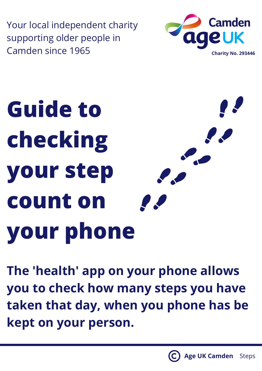Your local independent charity supporting older people in Camden since 1965 **Camden Since 1965** 



## **Guide to checking your step count on your phone**

**The 'health' app on your phone allows you to check how many steps you have taken that day, when you phone has be kept on your person.**

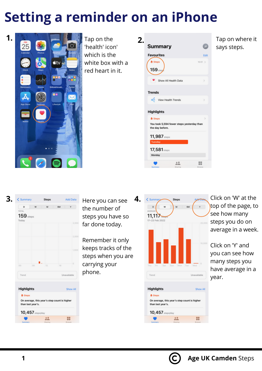## **Setting a reminder on an iPhone**



'health' icon' which is the white box with a red heart in it.

| <b>Summary</b>                                               | <b>JP</b>     |
|--------------------------------------------------------------|---------------|
| <b>Favourites</b>                                            | Edit          |
| ð Steps<br>159 <sub>step</sub>                               | $10:01$ >     |
| Show All Health Data                                         | $\mathcal{P}$ |
| <b>Trends</b>                                                |               |
| View Health Trends                                           | $\mathcal{P}$ |
| <b>Highlights</b>                                            |               |
| ð Steps                                                      | $\mathcal{P}$ |
| You took 5,594 fewer steps yesterday than<br>the day before. |               |
| 11,987 steps                                                 |               |
| Tuesday                                                      |               |
| 17,581 steps                                                 |               |
| Monday                                                       |               |
| 0 <sup>0</sup>                                               | 田田<br>        |
| harino                                                       | <b>SAFEA</b>  |

Tap on where it says steps.



the number of steps you have so far done today.

Remember it only keeps tracks of the steps when you are carrying your phone.



Click on 'W' at the top of the page, to see how many steps you do on average in a week.

Click on 'Y' and you can see how many steps you have average in a year.